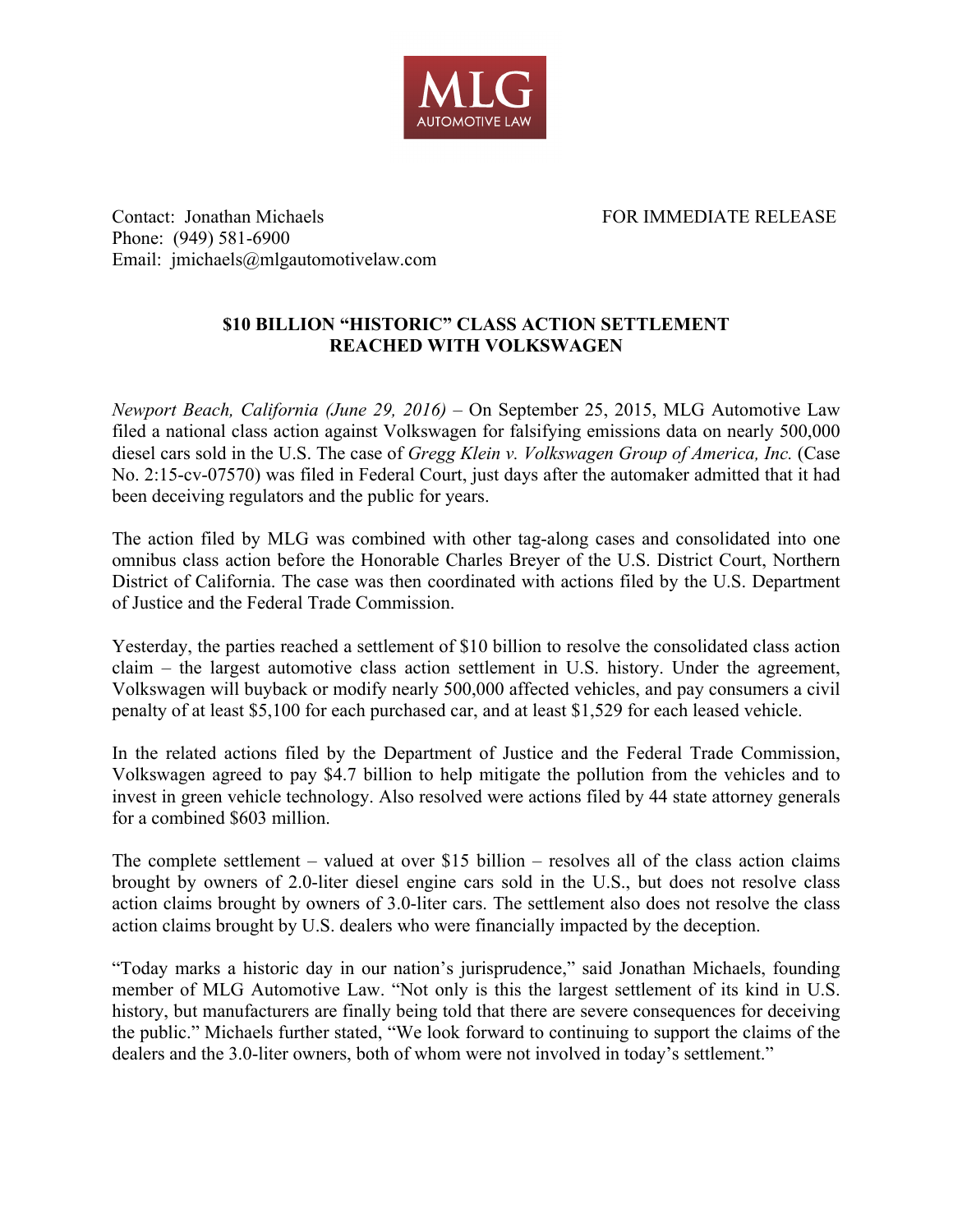

Contact: Jonathan Michaels FOR IMMEDIATE RELEASE Phone: (949) 581-6900 Email: jmichaels@mlgautomotivelaw.com

## **\$10 BILLION "HISTORIC" CLASS ACTION SETTLEMENT REACHED WITH VOLKSWAGEN**

*Newport Beach, California (June 29, 2016)* – On September 25, 2015, MLG Automotive Law filed a national class action against Volkswagen for falsifying emissions data on nearly 500,000 diesel cars sold in the U.S. The case of *Gregg Klein v. Volkswagen Group of America, Inc.* (Case No. 2:15-cv-07570) was filed in Federal Court, just days after the automaker admitted that it had been deceiving regulators and the public for years.

The action filed by MLG was combined with other tag-along cases and consolidated into one omnibus class action before the Honorable Charles Breyer of the U.S. District Court, Northern District of California. The case was then coordinated with actions filed by the U.S. Department of Justice and the Federal Trade Commission.

Yesterday, the parties reached a settlement of \$10 billion to resolve the consolidated class action claim – the largest automotive class action settlement in U.S. history. Under the agreement, Volkswagen will buyback or modify nearly 500,000 affected vehicles, and pay consumers a civil penalty of at least \$5,100 for each purchased car, and at least \$1,529 for each leased vehicle.

In the related actions filed by the Department of Justice and the Federal Trade Commission, Volkswagen agreed to pay \$4.7 billion to help mitigate the pollution from the vehicles and to invest in green vehicle technology. Also resolved were actions filed by 44 state attorney generals for a combined \$603 million.

The complete settlement – valued at over \$15 billion – resolves all of the class action claims brought by owners of 2.0-liter diesel engine cars sold in the U.S., but does not resolve class action claims brought by owners of 3.0-liter cars. The settlement also does not resolve the class action claims brought by U.S. dealers who were financially impacted by the deception.

"Today marks a historic day in our nation's jurisprudence," said Jonathan Michaels, founding member of MLG Automotive Law. "Not only is this the largest settlement of its kind in U.S. history, but manufacturers are finally being told that there are severe consequences for deceiving the public." Michaels further stated, "We look forward to continuing to support the claims of the dealers and the 3.0-liter owners, both of whom were not involved in today's settlement."